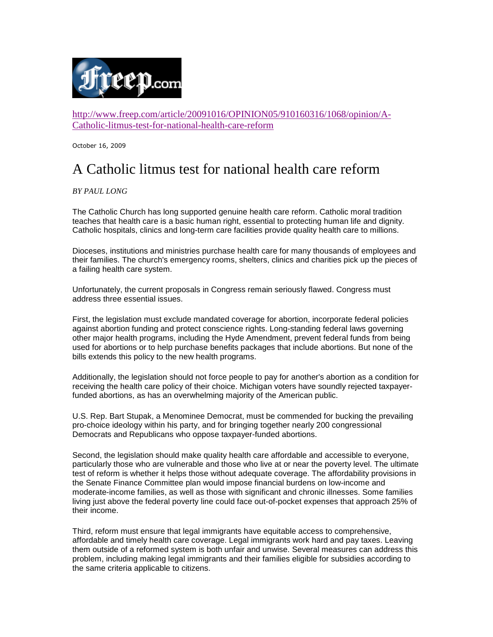

http://www.freep.com/article/20091016/OPINION05/910160316/1068/opinion/A-Catholic-litmus-test-for-national-health-care-reform

October 16, 2009

## A Catholic litmus test for national health care reform

*BY PAUL LONG*

The Catholic Church has long supported genuine health care reform. Catholic moral tradition teaches that health care is a basic human right, essential to protecting human life and dignity. Catholic hospitals, clinics and long-term care facilities provide quality health care to millions.

Dioceses, institutions and ministries purchase health care for many thousands of employees and their families. The church's emergency rooms, shelters, clinics and charities pick up the pieces of a failing health care system.

Unfortunately, the current proposals in Congress remain seriously flawed. Congress must address three essential issues.

First, the legislation must exclude mandated coverage for abortion, incorporate federal policies against abortion funding and protect conscience rights. Long-standing federal laws governing other major health programs, including the Hyde Amendment, prevent federal funds from being used for abortions or to help purchase benefits packages that include abortions. But none of the bills extends this policy to the new health programs.

Additionally, the legislation should not force people to pay for another's abortion as a condition for receiving the health care policy of their choice. Michigan voters have soundly rejected taxpayerfunded abortions, as has an overwhelming majority of the American public.

U.S. Rep. Bart Stupak, a Menominee Democrat, must be commended for bucking the prevailing pro-choice ideology within his party, and for bringing together nearly 200 congressional Democrats and Republicans who oppose taxpayer-funded abortions.

Second, the legislation should make quality health care affordable and accessible to everyone, particularly those who are vulnerable and those who live at or near the poverty level. The ultimate test of reform is whether it helps those without adequate coverage. The affordability provisions in the Senate Finance Committee plan would impose financial burdens on low-income and moderate-income families, as well as those with significant and chronic illnesses. Some families living just above the federal poverty line could face out-of-pocket expenses that approach 25% of their income.

Third, reform must ensure that legal immigrants have equitable access to comprehensive, affordable and timely health care coverage. Legal immigrants work hard and pay taxes. Leaving them outside of a reformed system is both unfair and unwise. Several measures can address this problem, including making legal immigrants and their families eligible for subsidies according to the same criteria applicable to citizens.